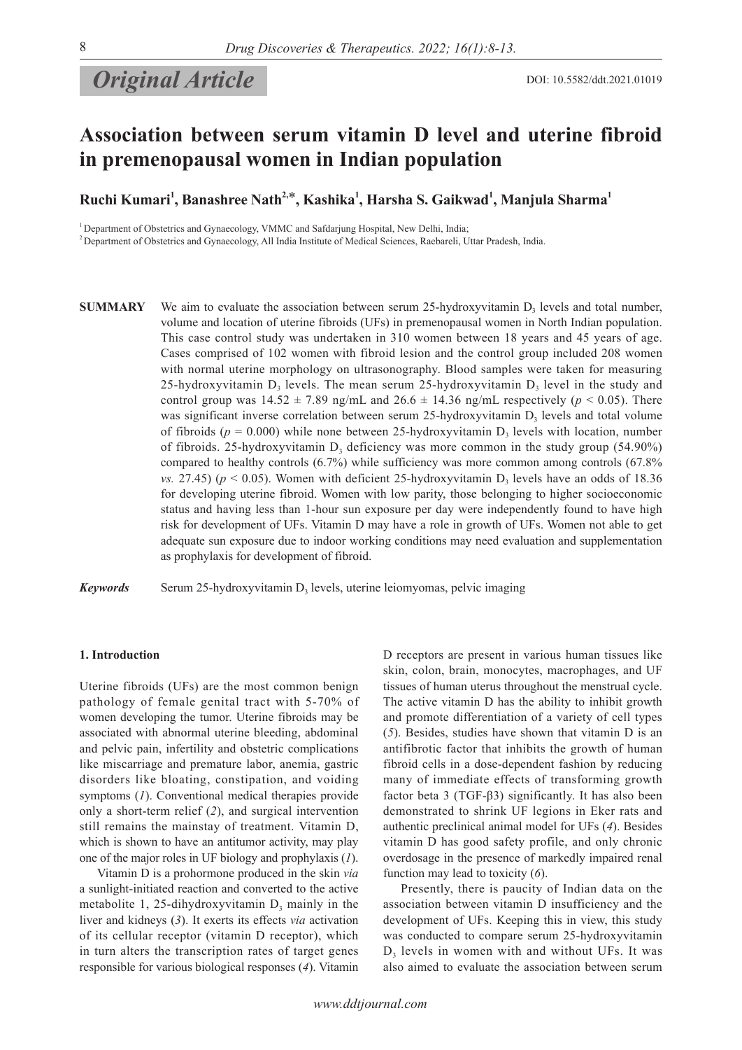**Original Article** DOI: 10.5582/ddt.2021.01019

# **Association between serum vitamin D level and uterine fibroid in premenopausal women in Indian population**

 $\mathbf{R}$ uchi Kumari<sup>1</sup>, Banashree Nath<sup>2,\*</sup>, Kashika<sup>1</sup>, Harsha S. Gaikwad<sup>1</sup>, Manjula Sharma<sup>1</sup>

<sup>1</sup> Department of Obstetrics and Gynaecology, VMMC and Safdarjung Hospital, New Delhi, India;

<sup>2</sup> Department of Obstetrics and Gynaecology, All India Institute of Medical Sciences, Raebareli, Uttar Pradesh, India.

**SUMMARY** We aim to evaluate the association between serum 25-hydroxyvitamin  $D_3$  levels and total number, volume and location of uterine fibroids (UFs) in premenopausal women in North Indian population. This case control study was undertaken in 310 women between 18 years and 45 years of age. Cases comprised of 102 women with fibroid lesion and the control group included 208 women with normal uterine morphology on ultrasonography. Blood samples were taken for measuring 25-hydroxyvitamin  $D_3$  levels. The mean serum 25-hydroxyvitamin  $D_3$  level in the study and control group was  $14.52 \pm 7.89$  ng/mL and  $26.6 \pm 14.36$  ng/mL respectively ( $p < 0.05$ ). There was significant inverse correlation between serum 25-hydroxyvitamin  $D<sub>3</sub>$  levels and total volume of fibroids ( $p = 0.000$ ) while none between 25-hydroxyvitamin  $D_3$  levels with location, number of fibroids. 25-hydroxyvitamin  $D_3$  deficiency was more common in the study group (54.90%) compared to healthy controls (6.7%) while sufficiency was more common among controls (67.8% *vs.* 27.45) ( $p < 0.05$ ). Women with deficient 25-hydroxyvitamin  $D_3$  levels have an odds of 18.36 for developing uterine fibroid. Women with low parity, those belonging to higher socioeconomic status and having less than 1-hour sun exposure per day were independently found to have high risk for development of UFs. Vitamin D may have a role in growth of UFs. Women not able to get adequate sun exposure due to indoor working conditions may need evaluation and supplementation as prophylaxis for development of fibroid.

*Keywords* Serum 25-hydroxyvitamin  $D<sub>3</sub>$  levels, uterine leiomyomas, pelvic imaging

### **1. Introduction**

Uterine fibroids (UFs) are the most common benign pathology of female genital tract with 5-70% of women developing the tumor. Uterine fibroids may be associated with abnormal uterine bleeding, abdominal and pelvic pain, infertility and obstetric complications like miscarriage and premature labor, anemia, gastric disorders like bloating, constipation, and voiding symptoms (*1*). Conventional medical therapies provide only a short-term relief (*2*), and surgical intervention still remains the mainstay of treatment. Vitamin D, which is shown to have an antitumor activity, may play one of the major roles in UF biology and prophylaxis (*1*).

Vitamin D is a prohormone produced in the skin *via* a sunlight-initiated reaction and converted to the active metabolite 1, 25-dihydroxyvitamin  $D_3$  mainly in the liver and kidneys (*3*). It exerts its effects *via* activation of its cellular receptor (vitamin D receptor), which in turn alters the transcription rates of target genes responsible for various biological responses (*4*). Vitamin D receptors are present in various human tissues like skin, colon, brain, monocytes, macrophages, and UF tissues of human uterus throughout the menstrual cycle. The active vitamin D has the ability to inhibit growth and promote differentiation of a variety of cell types (*5*). Besides, studies have shown that vitamin D is an antifibrotic factor that inhibits the growth of human fibroid cells in a dose-dependent fashion by reducing many of immediate effects of transforming growth factor beta 3 (TGF-β3) significantly. It has also been demonstrated to shrink UF legions in Eker rats and authentic preclinical animal model for UFs (*4*). Besides vitamin D has good safety profile, and only chronic overdosage in the presence of markedly impaired renal function may lead to toxicity (*6*).

Presently, there is paucity of Indian data on the association between vitamin D insufficiency and the development of UFs. Keeping this in view, this study was conducted to compare serum 25-hydroxyvitamin  $D<sub>3</sub>$  levels in women with and without UFs. It was also aimed to evaluate the association between serum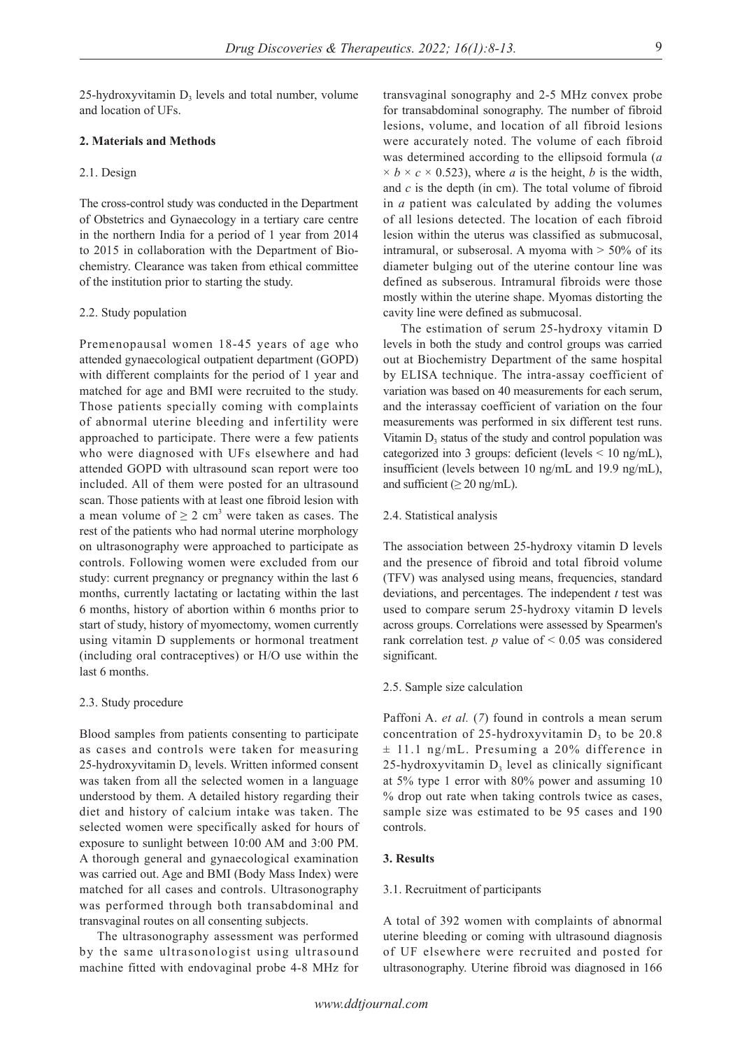25-hydroxyvitamin  $D<sub>3</sub>$  levels and total number, volume and location of UFs.

# **2. Materials and Methods**

# 2.1. Design

The cross-control study was conducted in the Department of Obstetrics and Gynaecology in a tertiary care centre in the northern India for a period of 1 year from 2014 to 2015 in collaboration with the Department of Biochemistry. Clearance was taken from ethical committee of the institution prior to starting the study.

# 2.2. Study population

Premenopausal women 18-45 years of age who attended gynaecological outpatient department (GOPD) with different complaints for the period of 1 year and matched for age and BMI were recruited to the study. Those patients specially coming with complaints of abnormal uterine bleeding and infertility were approached to participate. There were a few patients who were diagnosed with UFs elsewhere and had attended GOPD with ultrasound scan report were too included. All of them were posted for an ultrasound scan. Those patients with at least one fibroid lesion with a mean volume of  $\geq 2$  cm<sup>3</sup> were taken as cases. The rest of the patients who had normal uterine morphology on ultrasonography were approached to participate as controls. Following women were excluded from our study: current pregnancy or pregnancy within the last 6 months, currently lactating or lactating within the last 6 months, history of abortion within 6 months prior to start of study, history of myomectomy, women currently using vitamin D supplements or hormonal treatment (including oral contraceptives) or H/O use within the last 6 months.

### 2.3. Study procedure

Blood samples from patients consenting to participate as cases and controls were taken for measuring  $25$ -hydroxyvitamin  $D<sub>3</sub>$  levels. Written informed consent was taken from all the selected women in a language understood by them. A detailed history regarding their diet and history of calcium intake was taken. The selected women were specifically asked for hours of exposure to sunlight between 10:00 AM and 3:00 PM. A thorough general and gynaecological examination was carried out. Age and BMI (Body Mass Index) were matched for all cases and controls. Ultrasonography was performed through both transabdominal and transvaginal routes on all consenting subjects.

The ultrasonography assessment was performed by the same ultrasonologist using ultrasound machine fitted with endovaginal probe 4-8 MHz for

transvaginal sonography and 2-5 MHz convex probe for transabdominal sonography. The number of fibroid lesions, volume, and location of all fibroid lesions were accurately noted. The volume of each fibroid was determined according to the ellipsoid formula (*a*  $\times b \times c \times 0.523$ , where *a* is the height, *b* is the width, and *c* is the depth (in cm). The total volume of fibroid in *a* patient was calculated by adding the volumes of all lesions detected. The location of each fibroid lesion within the uterus was classified as submucosal, intramural, or subserosal. A myoma with  $>$  50% of its diameter bulging out of the uterine contour line was defined as subserous. Intramural fibroids were those mostly within the uterine shape. Myomas distorting the cavity line were defined as submucosal.

The estimation of serum 25-hydroxy vitamin D levels in both the study and control groups was carried out at Biochemistry Department of the same hospital by ELISA technique. The intra-assay coefficient of variation was based on 40 measurements for each serum, and the interassay coefficient of variation on the four measurements was performed in six different test runs. Vitamin  $D_3$  status of the study and control population was categorized into 3 groups: deficient (levels < 10 ng/mL), insufficient (levels between 10 ng/mL and 19.9 ng/mL), and sufficient ( $\geq 20$  ng/mL).

# 2.4. Statistical analysis

The association between 25-hydroxy vitamin D levels and the presence of fibroid and total fibroid volume (TFV) was analysed using means, frequencies, standard deviations, and percentages. The independent *t* test was used to compare serum 25-hydroxy vitamin D levels across groups. Correlations were assessed by Spearmen's rank correlation test.  $p$  value of  $\leq 0.05$  was considered significant.

### 2.5. Sample size calculation

Paffoni A. *et al.* (*7*) found in controls a mean serum concentration of 25-hydroxyvitamin  $D_3$  to be 20.8 ± 11.1 ng/mL. Presuming a 20% difference in  $25$ -hydroxyvitamin  $D<sub>3</sub>$  level as clinically significant at 5% type 1 error with 80% power and assuming 10 % drop out rate when taking controls twice as cases, sample size was estimated to be 95 cases and 190 controls.

# **3. Results**

# 3.1. Recruitment of participants

A total of 392 women with complaints of abnormal uterine bleeding or coming with ultrasound diagnosis of UF elsewhere were recruited and posted for ultrasonography. Uterine fibroid was diagnosed in 166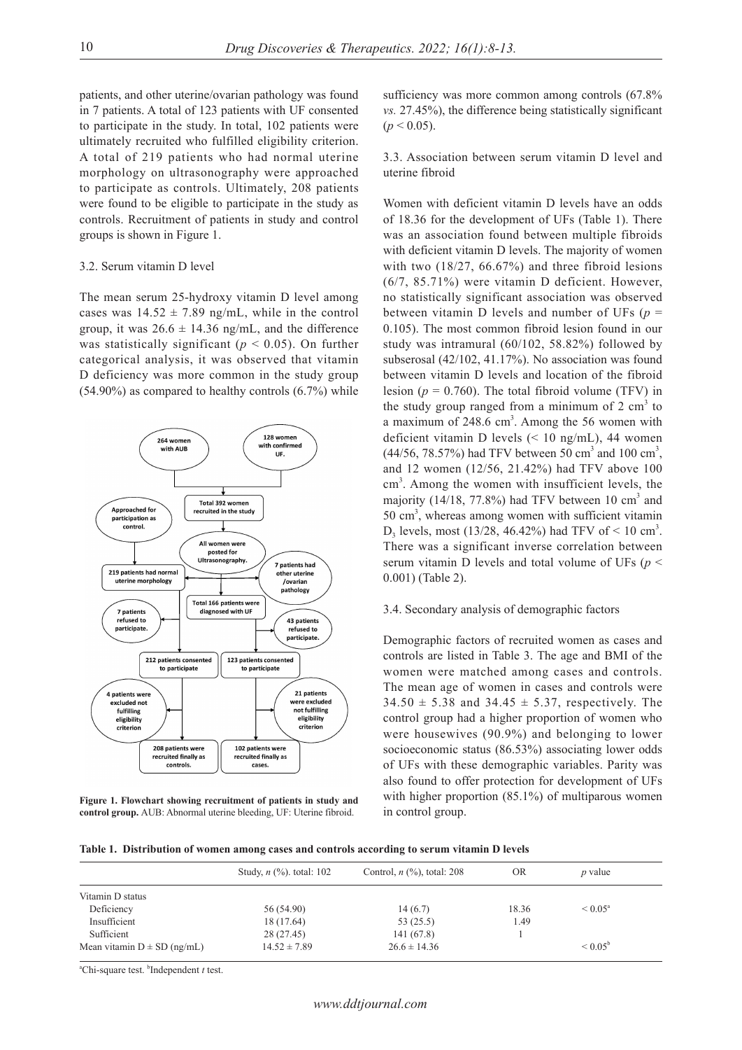patients, and other uterine/ovarian pathology was found in 7 patients. A total of 123 patients with UF consented to participate in the study. In total, 102 patients were ultimately recruited who fulfilled eligibility criterion. A total of 219 patients who had normal uterine morphology on ultrasonography were approached to participate as controls. Ultimately, 208 patients were found to be eligible to participate in the study as controls. Recruitment of patients in study and control groups is shown in Figure 1.

# 3.2. Serum vitamin D level

The mean serum 25-hydroxy vitamin D level among cases was  $14.52 \pm 7.89$  ng/mL, while in the control group, it was  $26.6 \pm 14.36$  ng/mL, and the difference was statistically significant ( $p < 0.05$ ). On further categorical analysis, it was observed that vitamin D deficiency was more common in the study group  $(54.90\%)$  as compared to healthy controls  $(6.7\%)$  while



**Figure 1. Flowchart showing recruitment of patients in study and control group.** AUB: Abnormal uterine bleeding, UF: Uterine fibroid.

sufficiency was more common among controls (67.8% *vs.* 27.45%), the difference being statistically significant  $(p < 0.05)$ .

3.3. Association between serum vitamin D level and uterine fibroid

Women with deficient vitamin D levels have an odds of 18.36 for the development of UFs (Table 1). There was an association found between multiple fibroids with deficient vitamin D levels. The majority of women with two (18/27, 66.67%) and three fibroid lesions (6/7, 85.71%) were vitamin D deficient. However, no statistically significant association was observed between vitamin D levels and number of UFs  $(p =$ 0.105). The most common fibroid lesion found in our study was intramural (60/102, 58.82%) followed by subserosal (42/102, 41.17%). No association was found between vitamin D levels and location of the fibroid lesion ( $p = 0.760$ ). The total fibroid volume (TFV) in the study group ranged from a minimum of  $2 \text{ cm}^3$  to a maximum of  $248.6 \text{ cm}^3$ . Among the 56 women with deficient vitamin D levels (< 10 ng/mL), 44 women  $(44/56, 78.57%)$  had TFV between 50 cm<sup>3</sup> and 100 cm<sup>3</sup>, and 12 women (12/56, 21.42%) had TFV above 100 cm<sup>3</sup>. Among the women with insufficient levels, the majority  $(14/18, 77.8%)$  had TFV between 10 cm<sup>3</sup> and  $50 \text{ cm}^3$ , whereas among women with sufficient vitamin  $D_3$  levels, most (13/28, 46.42%) had TFV of < 10 cm<sup>3</sup>. There was a significant inverse correlation between serum vitamin D levels and total volume of UFs (*p* < 0.001) (Table 2).

# 3.4. Secondary analysis of demographic factors

Demographic factors of recruited women as cases and controls are listed in Table 3. The age and BMI of the women were matched among cases and controls. The mean age of women in cases and controls were  $34.50 \pm 5.38$  and  $34.45 \pm 5.37$ , respectively. The control group had a higher proportion of women who were housewives (90.9%) and belonging to lower socioeconomic status (86.53%) associating lower odds of UFs with these demographic variables. Parity was also found to offer protection for development of UFs with higher proportion (85.1%) of multiparous women in control group.

**Table 1. Distribution of women among cases and controls according to serum vitamin D levels**

|                                 | Study, $n$ (%). total: 102 | Control, $n$ $(\%)$ , total: 208 | <b>OR</b> | p value             |  |
|---------------------------------|----------------------------|----------------------------------|-----------|---------------------|--|
| Vitamin D status                |                            |                                  |           |                     |  |
| Deficiency                      | 56 (54.90)                 | 14(6.7)                          | 18.36     | $\leq 0.05^{\circ}$ |  |
| Insufficient                    | 18 (17.64)                 | 53(25.5)                         | 1.49      |                     |  |
| Sufficient                      | 28 (27.45)                 | 141 (67.8)                       |           |                     |  |
| Mean vitamin $D \pm SD$ (ng/mL) | $14.52 \pm 7.89$           | $26.6 \pm 14.36$                 |           | $< 0.05^{\rm b}$    |  |

<sup>a</sup>Chi-square test. <sup>b</sup>Independent *t* test.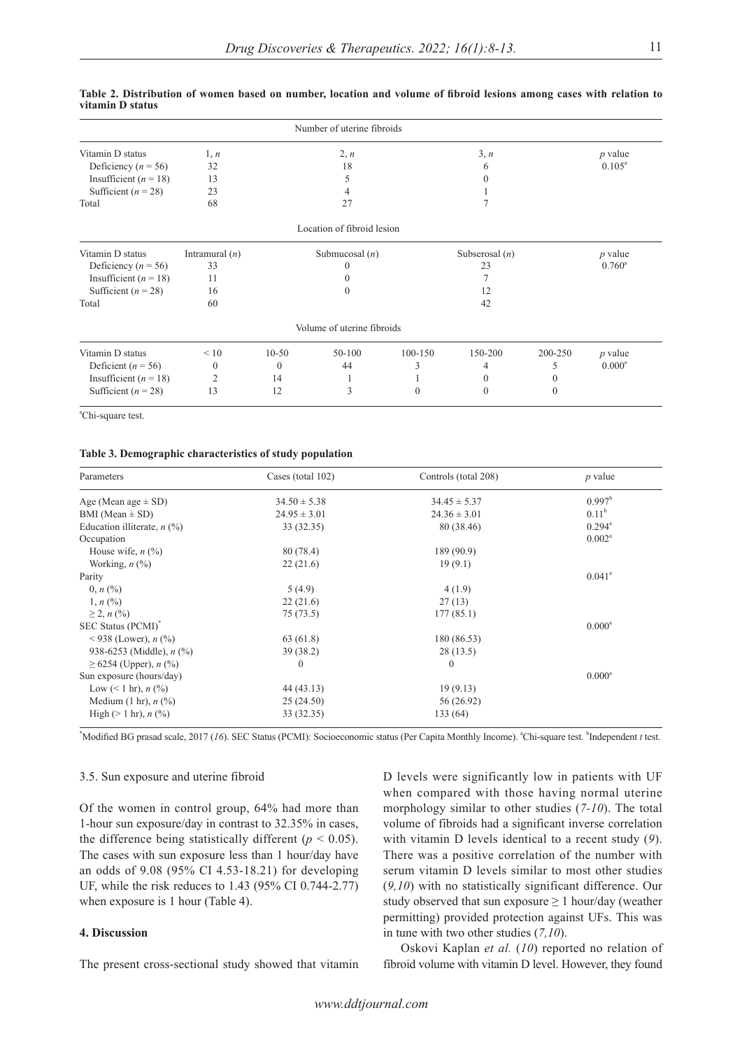| Number of uterine fibroids |                  |         |                            |             |                  |         |                 |
|----------------------------|------------------|---------|----------------------------|-------------|------------------|---------|-----------------|
| Vitamin D status           | 1, n             |         | 2, n                       |             | 3, n             |         | $p$ value       |
| Deficiency ( $n = 56$ )    | 32               |         | 18                         |             | 6                |         | $0.105^{\circ}$ |
| Insufficient ( $n = 18$ )  | 13               |         | 5                          |             |                  |         |                 |
| Sufficient ( $n = 28$ )    | 23               |         | 4                          |             |                  |         |                 |
| Total                      | 68               |         | 27                         |             |                  |         |                 |
|                            |                  |         | Location of fibroid lesion |             |                  |         |                 |
| Vitamin D status           | Intramural $(n)$ |         | Submucosal $(n)$           |             | Subserosal $(n)$ |         | <i>p</i> value  |
| Deficiency ( $n = 56$ )    | 33               |         |                            |             | 23               |         | $0.760^{\circ}$ |
| Insufficient ( $n = 18$ )  | 11               |         |                            |             |                  |         |                 |
| Sufficient ( $n = 28$ )    | 16               |         | $\Omega$                   |             | 12               |         |                 |
| Total                      | 60               |         |                            |             | 42               |         |                 |
|                            |                  |         | Volume of uterine fibroids |             |                  |         |                 |
| Vitamin D status           | < 10             | $10-50$ | $50 - 100$                 | $100 - 150$ | 150-200          | 200-250 | $p$ value       |

3 1 0

4 0 0

44 1 3

#### **Table 2. Distribution of women based on number, location and volume of fibroid lesions among cases with relation to vitamin D status**

a Chi-square test.

Deficient ( $n = 56$ ) Insufficient  $(n = 18)$ Sufficient  $(n = 28)$ 

#### **Table 3. Demographic characteristics of study population**

 0 2 13

 0 14 12

| Parameters                           | Cases (total 102) | Controls (total 208) | $p$ value       |
|--------------------------------------|-------------------|----------------------|-----------------|
| Age (Mean age $\pm$ SD)              | $34.50 \pm 5.38$  | $34.45 \pm 5.37$     | $0.997^{\rm b}$ |
| BMI (Mean $\pm$ SD)                  | $24.95 \pm 3.01$  | $24.36 \pm 3.01$     | $0.11^{\rm b}$  |
| Education illiterate, $n$ (%)        | 33 (32.35)        | 80 (38.46)           | $0.294^{\circ}$ |
| Occupation                           |                   |                      | $0.002^a$       |
| House wife, $n$ $(\%)$               | 80 (78.4)         | 189 (90.9)           |                 |
| Working, $n$ $(\%)$                  | 22(21.6)          | 19(9.1)              |                 |
| Parity                               |                   |                      | $0.041^{\circ}$ |
| $0, n$ (%)                           | 5(4.9)            | 4(1.9)               |                 |
| $1, n (\%)$                          | 22(21.6)          | 27(13)               |                 |
| $\geq$ 2, n $(\% )$                  | 75 (73.5)         | 177(85.1)            |                 |
| SEC Status (PCMI) <sup>*</sup>       |                   |                      | $0.000^a$       |
| <938 (Lower), $n$ (%)                | 63 (61.8)         | 180 (86.53)          |                 |
| 938-6253 (Middle), $n$ (%)           | 39 (38.2)         | 28(13.5)             |                 |
| $\geq 6254$ (Upper), <i>n</i> (%)    | $\theta$          | $\Omega$             |                 |
| Sun exposure (hours/day)             |                   |                      | $0.000^a$       |
| Low $(< 1 \text{ hr}$ ), $n$ (%)     | 44 (43.13)        | 19(9.13)             |                 |
| Medium $(1 \text{ hr})$ , $n$ $(\%)$ | 25(24.50)         | 56 (26.92)           |                 |
| High ( $> 1$ hr), $n$ (%)            | 33 (32.35)        | 133 (64)             |                 |

\*Modified BG prasad scale, 2017 (16). SEC Status (PCMI): Socioeconomic status (Per Capita Monthly Income). <sup>a</sup>Chi-square test. <sup>b</sup>Independent *t* test.

# 3.5. Sun exposure and uterine fibroid

Of the women in control group, 64% had more than 1-hour sun exposure/day in contrast to 32.35% in cases, the difference being statistically different ( $p < 0.05$ ). The cases with sun exposure less than 1 hour/day have an odds of 9.08 (95% CI 4.53-18.21) for developing UF, while the risk reduces to 1.43 (95% CI 0.744-2.77) when exposure is 1 hour (Table 4).

# **4. Discussion**

The present cross-sectional study showed that vitamin

D levels were significantly low in patients with UF when compared with those having normal uterine morphology similar to other studies (*7-10*). The total volume of fibroids had a significant inverse correlation with vitamin D levels identical to a recent study (*9*). There was a positive correlation of the number with serum vitamin D levels similar to most other studies (*9,10*) with no statistically significant difference. Our study observed that sun exposure  $\geq 1$  hour/day (weather permitting) provided protection against UFs. This was in tune with two other studies (*7,10*).

Oskovi Kaplan *et al.* (*10*) reported no relation of fibroid volume with vitamin D level. However, they found

 $0.000^a$ 

5 0 0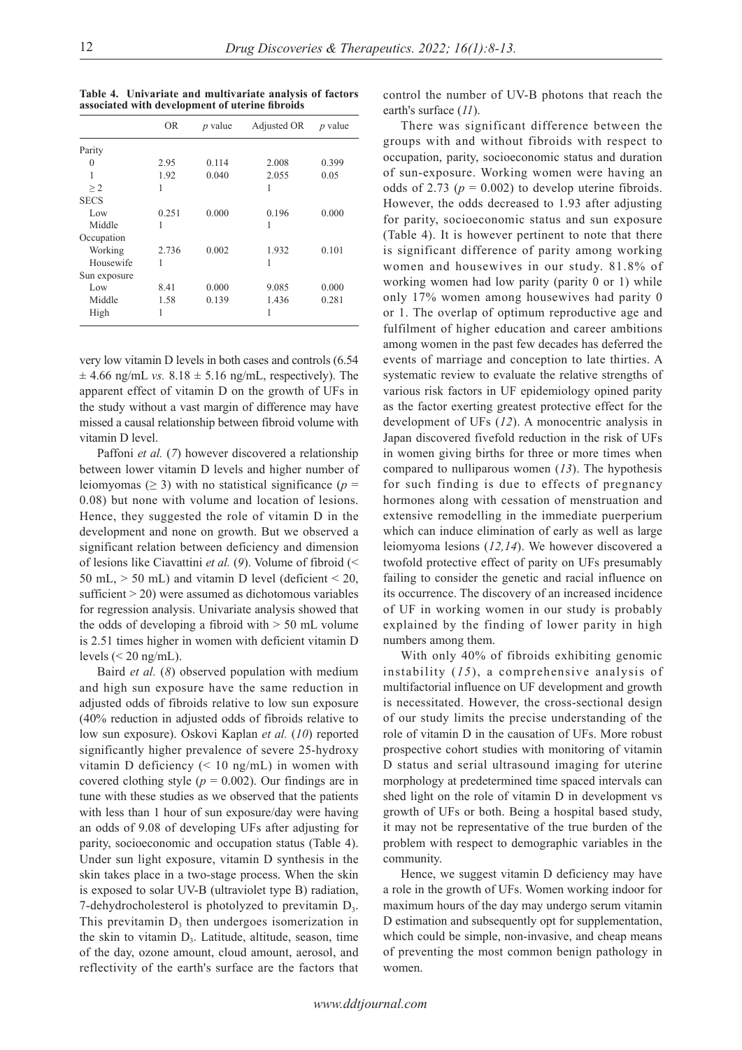| ۰ |  |
|---|--|
|   |  |

**Table 4. Univariate and multivariate analysis of factors associated with development of uterine fibroids**

|              | <b>OR</b> | $p$ value | Adjusted OR | <i>p</i> value |
|--------------|-----------|-----------|-------------|----------------|
| Parity       |           |           |             |                |
| 0            | 2.95      | 0.114     | 2.008       | 0.399          |
| 1            | 1.92      | 0.040     | 2.055       | 0.05           |
| >2           | 1         |           |             |                |
| <b>SECS</b>  |           |           |             |                |
| Low          | 0.251     | 0.000     | 0.196       | 0.000          |
| Middle       | 1         |           |             |                |
| Occupation   |           |           |             |                |
| Working      | 2.736     | 0.002     | 1.932       | 0.101          |
| Housewife    | 1         |           | 1           |                |
| Sun exposure |           |           |             |                |
| Low          | 8.41      | 0.000     | 9.085       | 0.000          |
| Middle       | 1.58      | 0.139     | 1.436       | 0.281          |
| High         | 1         |           |             |                |

very low vitamin D levels in both cases and controls (6.54  $\pm$  4.66 ng/mL *vs.*  $8.18 \pm 5.16$  ng/mL, respectively). The apparent effect of vitamin D on the growth of UFs in the study without a vast margin of difference may have missed a causal relationship between fibroid volume with vitamin D level.

Paffoni *et al.* (*7*) however discovered a relationship between lower vitamin D levels and higher number of leiomyomas ( $\geq$  3) with no statistical significance ( $p =$ 0.08) but none with volume and location of lesions. Hence, they suggested the role of vitamin D in the development and none on growth. But we observed a significant relation between deficiency and dimension of lesions like Ciavattini *et al.* (*9*). Volume of fibroid (< 50 mL,  $>$  50 mL) and vitamin D level (deficient  $<$  20, sufficient  $>$  20) were assumed as dichotomous variables for regression analysis. Univariate analysis showed that the odds of developing a fibroid with  $> 50$  mL volume is 2.51 times higher in women with deficient vitamin D levels  $\left($  < 20 ng/mL).

Baird *et al.* (*8*) observed population with medium and high sun exposure have the same reduction in adjusted odds of fibroids relative to low sun exposure (40% reduction in adjusted odds of fibroids relative to low sun exposure). Oskovi Kaplan *et al.* (*10*) reported significantly higher prevalence of severe 25-hydroxy vitamin D deficiency  $(< 10 \text{ ng/mL})$  in women with covered clothing style ( $p = 0.002$ ). Our findings are in tune with these studies as we observed that the patients with less than 1 hour of sun exposure/day were having an odds of 9.08 of developing UFs after adjusting for parity, socioeconomic and occupation status (Table 4). Under sun light exposure, vitamin D synthesis in the skin takes place in a two-stage process. When the skin is exposed to solar UV-B (ultraviolet type B) radiation, 7-dehydrocholesterol is photolyzed to previtamin  $D<sub>3</sub>$ . This previtamin  $D_3$  then undergoes isomerization in the skin to vitamin  $D_3$ . Latitude, altitude, season, time of the day, ozone amount, cloud amount, aerosol, and reflectivity of the earth's surface are the factors that

control the number of UV-B photons that reach the earth's surface (*11*).

There was significant difference between the groups with and without fibroids with respect to occupation, parity, socioeconomic status and duration of sun-exposure. Working women were having an odds of 2.73 ( $p = 0.002$ ) to develop uterine fibroids. However, the odds decreased to 1.93 after adjusting for parity, socioeconomic status and sun exposure (Table 4). It is however pertinent to note that there is significant difference of parity among working women and housewives in our study. 81.8% of working women had low parity (parity 0 or 1) while only 17% women among housewives had parity 0 or 1. The overlap of optimum reproductive age and fulfilment of higher education and career ambitions among women in the past few decades has deferred the events of marriage and conception to late thirties. A systematic review to evaluate the relative strengths of various risk factors in UF epidemiology opined parity as the factor exerting greatest protective effect for the development of UFs (*12*). A monocentric analysis in Japan discovered fivefold reduction in the risk of UFs in women giving births for three or more times when compared to nulliparous women (*13*). The hypothesis for such finding is due to effects of pregnancy hormones along with cessation of menstruation and extensive remodelling in the immediate puerperium which can induce elimination of early as well as large leiomyoma lesions (*12,14*). We however discovered a twofold protective effect of parity on UFs presumably failing to consider the genetic and racial influence on its occurrence. The discovery of an increased incidence of UF in working women in our study is probably explained by the finding of lower parity in high numbers among them.

With only 40% of fibroids exhibiting genomic instability (*15*), a comprehensive analysis of multifactorial influence on UF development and growth is necessitated. However, the cross-sectional design of our study limits the precise understanding of the role of vitamin D in the causation of UFs. More robust prospective cohort studies with monitoring of vitamin D status and serial ultrasound imaging for uterine morphology at predetermined time spaced intervals can shed light on the role of vitamin D in development vs growth of UFs or both. Being a hospital based study, it may not be representative of the true burden of the problem with respect to demographic variables in the community.

Hence, we suggest vitamin D deficiency may have a role in the growth of UFs. Women working indoor for maximum hours of the day may undergo serum vitamin D estimation and subsequently opt for supplementation, which could be simple, non-invasive, and cheap means of preventing the most common benign pathology in women.